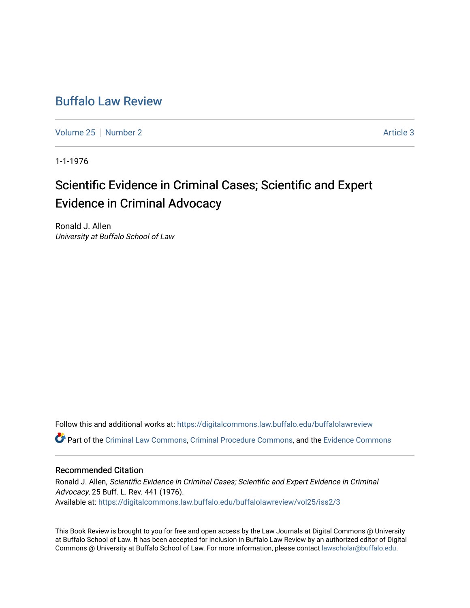# [Buffalo Law Review](https://digitalcommons.law.buffalo.edu/buffalolawreview)

[Volume 25](https://digitalcommons.law.buffalo.edu/buffalolawreview/vol25) [Number 2](https://digitalcommons.law.buffalo.edu/buffalolawreview/vol25/iss2) Article 3

1-1-1976

# Scientific Evidence in Criminal Cases; Scientific and Expert Evidence in Criminal Advocacy

Ronald J. Allen University at Buffalo School of Law

Follow this and additional works at: [https://digitalcommons.law.buffalo.edu/buffalolawreview](https://digitalcommons.law.buffalo.edu/buffalolawreview?utm_source=digitalcommons.law.buffalo.edu%2Fbuffalolawreview%2Fvol25%2Fiss2%2F3&utm_medium=PDF&utm_campaign=PDFCoverPages)  Part of the [Criminal Law Commons,](http://network.bepress.com/hgg/discipline/912?utm_source=digitalcommons.law.buffalo.edu%2Fbuffalolawreview%2Fvol25%2Fiss2%2F3&utm_medium=PDF&utm_campaign=PDFCoverPages) [Criminal Procedure Commons,](http://network.bepress.com/hgg/discipline/1073?utm_source=digitalcommons.law.buffalo.edu%2Fbuffalolawreview%2Fvol25%2Fiss2%2F3&utm_medium=PDF&utm_campaign=PDFCoverPages) and the [Evidence Commons](http://network.bepress.com/hgg/discipline/601?utm_source=digitalcommons.law.buffalo.edu%2Fbuffalolawreview%2Fvol25%2Fiss2%2F3&utm_medium=PDF&utm_campaign=PDFCoverPages) 

## Recommended Citation

Ronald J. Allen, Scientific Evidence in Criminal Cases; Scientific and Expert Evidence in Criminal Advocacy, 25 Buff. L. Rev. 441 (1976). Available at: [https://digitalcommons.law.buffalo.edu/buffalolawreview/vol25/iss2/3](https://digitalcommons.law.buffalo.edu/buffalolawreview/vol25/iss2/3?utm_source=digitalcommons.law.buffalo.edu%2Fbuffalolawreview%2Fvol25%2Fiss2%2F3&utm_medium=PDF&utm_campaign=PDFCoverPages) 

This Book Review is brought to you for free and open access by the Law Journals at Digital Commons @ University at Buffalo School of Law. It has been accepted for inclusion in Buffalo Law Review by an authorized editor of Digital Commons @ University at Buffalo School of Law. For more information, please contact [lawscholar@buffalo.edu](mailto:lawscholar@buffalo.edu).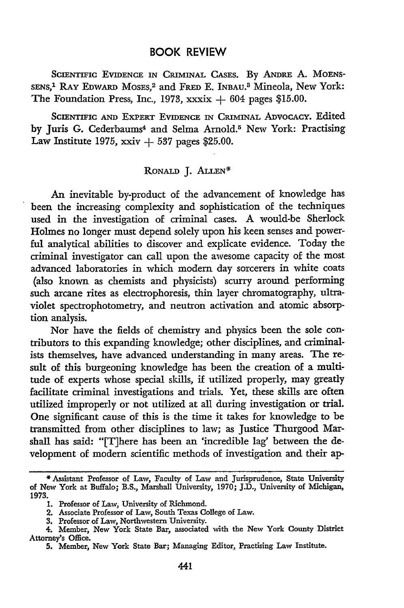### BOOK REVIEW

SCIENTIFIC EVIDENCE IN CRIMINAL CASES. **By ANDRE** A. **MOENS-SENS,"** RAY EDWARD **MOSES, <sup>2</sup>**and FRED **E.** INBAU.A Mineola, New York: The Foundation Press, Inc., 1973, xxxix **+** 604 pages \$15.00.

SCIENTIFIC **AND** EXPERT EVIDENCE **IN** CRIMINAL ADVOCACY. Edited by Juris G. Cederbaums<sup>4</sup> and Selma Arnold.<sup>5</sup> New York: Practising Law Institute 1975, xxiv **+ 537** pages \$25.00.

#### RONALD **J. ALLEN\***

An inevitable by-product of the advancement of knowledge has been the increasing complexity and sophistication of the techniques used in the investigation of criminal cases. **A** would-be Sherlock Holmes no longer must depend solely upon his keen senses and powerful analytical abilities to discover and explicate evidence. Today the criminal investigator can call upon the awesome capacity of the most advanced laboratories in which modem day sorcerers in white coats (also known as chemists and physicists) scurry around performing such arcane rites as electrophoresis, thin layer chromatography, ultraviolet spectrophotometry, and neutron activation and atomic absorption analysis.

Nor have the fields of chemistry and physics been the sole contributors to this expanding knowledge; other disciplines, and criminalists themselves, have advanced understanding in many areas. The result of this burgeoning knowledge has been the creation of a multitude of experts whose special skills, **if** utilized properly, may greatly facilitate criminal investigations and trials. Yet, these skills are often utilized improperly or not utilized at all during investigation or trial. One significant cause of this is the time it takes for knowledge to be transmitted from other disciplines to law; as Justice Thurgood Marshall has said: "[T]here has been an 'incredible lag' between the development of modem scientific methods of investigation and their ap-

<sup>\*</sup>Assistant Professor of Law, Faculty of Law and Jurisprudence, State University of New York at Buffalo; B.S., Marshall University, **1970; J.D.,** University of Michigan, **1973.**

**<sup>1.</sup>** Professor of Law, University of Richmond.

<sup>2.</sup> Associate Professor of Law, South Texas College of Law.

**<sup>3.</sup>** Professor of Law, Northwestern University.

<sup>4.</sup> Member, New York State Bar, associated with the New York County District Attorney's Office.

**<sup>5.</sup>** Member, New York State Bar; Managing Editor, Practising Law Institute.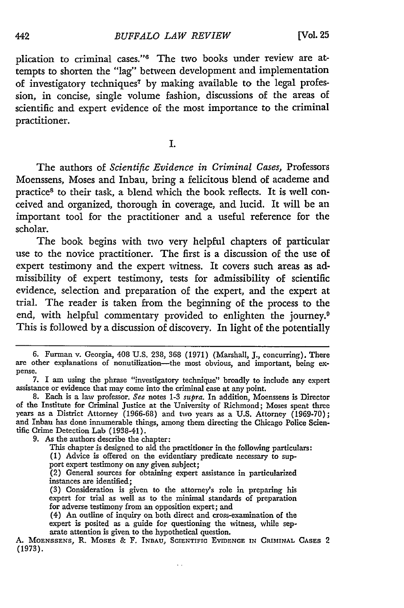plication to criminal cases."<sup>6</sup> The two books under review are attempts to shorten the "lag" between development and implementation of investigatory techniques<sup>7</sup> by making available to the legal profession, in concise, single volume fashion, discussions of the areas of scientific and expert evidence of the most importance to the criminal practitioner.

I.

The authors of *Scientific Evidence in Criminal Cases,* Professors Moenssens, Moses and Inbau, bring a felicitous blend of academe and practice<sup>8</sup> to their task, a blend which the book reflects. It is well conceived and organized, thorough in coverage, and lucid. It will be an important tool for the practitioner and a useful reference for the scholar.

The book begins with two very helpful chapters of particular use to the novice practitioner. The first is a discussion of the use of expert testimony and the expert witness. It covers such areas as admissibility of expert testimony, tests for admissibility of scientific evidence, selection and preparation of the expert, and the expert at trial. The reader is taken from the beginning of the process to the end, with helpful commentary provided to enlighten the journey. This is followed by a discussion of discovery. In light of the potentially

- This chapter is designed to aid the practitioner in the following particulars:
- (1) Advice is offered on the evidentiary predicate necessary to sup-
- port expert testimony on any given subject;
- (2) General sources for obtaining expert assistance in particularized instances are identified;
- (3) Consideration is given to the attorney's role in preparing his expert for trial as well as to the minimal standards of preparation for adverse testimony from an opposition expert; and
- (4) An outline of inquiry on both direct and cross-examination of the expert is posited as a guide for questioning the witness, while separate attention is given to the hypothetical question.

 $\epsilon$  .  $\epsilon$ 

**<sup>6.</sup>** Furman v. Georgia, 408 **U.S.** 238, 368 (1971) (Marshall, **J.,** concurring), There are other explanations of nonutilization-the most obvious, and important, being expense.

<sup>7.</sup> I am using the phrase "investigatory technique" broadly to include any expert assistance or evidence that may come into the criminal case at any point.

<sup>8.</sup> Each is a law professor. *See* notes **1-3** *supra.* In addition, Moenssens is Director of the Institute for Criminal Justice at the University of Richmond; Moses spent three years as a District Attorney (1966-68) and two years as a U.S. Attorney (1969-70); and Inbau has done innumerable things, among them directing the Chicago Police Scientific Crime Detection Lab (1938-41).

<sup>9.</sup> As the authors describe the chapter:

**A. MoENSSENS,** R. MosEs & F. **INBAU,** SCIENTIFIc **EVmENcE IN CRIMINAL** CAsES 2 (1973).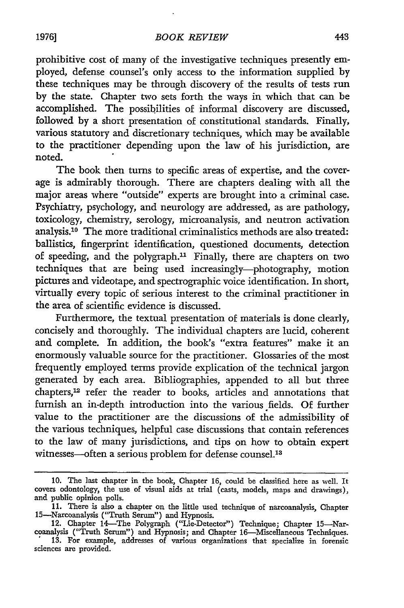prohibitive cost of many of the investigative techniques presently employed, defense counsel's only access to the information supplied by these techniques may be through discovery of the results of tests run by the state. Chapter two sets forth the ways in which that can be accomplished. The possibilities of informal discovery are discussed, followed by a short presentation of constitutional standards. Finally, various statutory and discretionary techniques, which may be available to the practitioner depending upon the law of his jurisdiction, are noted.

The book then turns to specific areas of expertise, and the coverage is admirably thorough. There are chapters dealing with all the major areas where "outside" experts are brought into a criminal case. Psychiatry, psychology, and neurology are addressed, as are pathology, toxicology, chemistry, serology, microanalysis, and neutron activation analysis.<sup>10</sup> The more traditional criminalistics methods are also treated: ballistics, fingerprint identification, questioned documents, detection of speeding, and the polygraph." Finally, there are chapters on two techniques that are being used increasingly-photography, motion pictures and videotape, and spectrographic voice identification. In short, virtually every topic of serious interest to the criminal practitioner in the area of scientific evidence is discussed.

Furthermore, the textual presentation of materials is done clearly, concisely and thoroughly. The individual chapters are lucid, coherent and complete. In addition, the book's "extra features" make it an enormously valuable source for the practitioner. Glossaries of the most frequently employed terms provide explication of the technical jargon generated by each area. Bibliographies, appended to all but three chapters,<sup>12</sup> refer the reader to books, articles and annotations that furnish an in-depth introduction into the various fields. Of further value to the practitioner are the discussions of the admissibility of the various techniques, helpful case discussions that contain references to the law of many jurisdictions, and tips on how to obtain expert witnesses-often a serious problem for defense counsel.<sup>13</sup>

<sup>10.</sup> The last chapter in the book, Chapter 16, could be classified here as well. It covers odontology, the use of visual aids at trial (casts, models, maps and drawings), and public opinion polls.

<sup>11.</sup> There is also a chapter on the little used technique of narcoanalysis, Chapter 15-Narcoanalysis ("Truth Serum") and Hypnosis. 12. Chapter 14-The Polygraph ("Lie-Detector") Technique; Chapter 15-Nar-

coanalysis ("Truth Serum") and Hypnosis; and Chapter 16-Miscellaneous Techniques. 13. For example, addresses of various organizations that specialize in forensic

sciences are provided.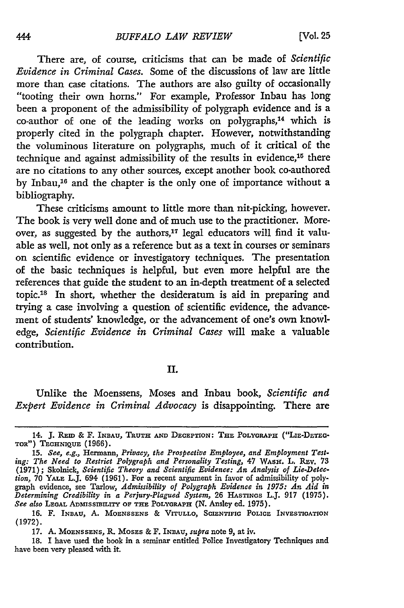There are, of course, criticisms that can be made of *Scientific Evidence in Criminal Cases.* Some of the discussions of law are little more than case citations. The authors are also guilty of occasionally "tooting their own horns." For example, Professor Inbau has long been a proponent of the admissibility of polygraph evidence and is a  $co$ -author of one of the leading works on polygraphs,<sup>14</sup> which is properly cited in the polygraph chapter. However, notwithstanding the voluminous literature on polygraphs, much of it critical of the technique and against admissibility of the results in evidence, $16$  there are no citations to any other sources, except another book co-authored by Inbau,<sup>16</sup> and the chapter is the only one of importance without a bibliography.

These criticisms amount to little more than nit-picking, however. The book is very well done and of much use to the practitioner. Moreover, as suggested by the authors, $17$  legal educators will find it valuable as well, not only as a reference but as a text in courses or seminars on scientific evidence or investigatory techniques. The presentation of the basic techniques is helpful, but even more helpful are the references that guide the student to an in-depth treatment of a selected topic.<sup>18</sup> In short, whether the desideratum is aid in preparing and trying a case involving a question of scientific evidence, the advancement of students' knowledge, or the advancement of one's own knowledge, *Scientific Evidence in Criminal Cases* will make a valuable contribution.

#### **II.**

Unlike the Moenssens, Moses and Inbau book, *Scientific and Expert Evidence in Criminal Advocacy* is disappointing. There are

<sup>14.</sup> J. REID & F. INBAU, TRUTH AND DECEPTION: THE POLYGRAPH ("LIE-DETEG-**TOR") TECHNIQUE (1966).**

**<sup>15.</sup>** *See, e.g.,* Hermann, *Privacy, the Prospective Employee, and Employment Testing: The Need to Restrict Polygraph and Personality Testing, 47 WASH. L. REV. 73* **(1971);** Skolnick, *Scientific Theory and Scientific Evidence: An Analysis of Lie-Detection,* 70 YALE L.J. 694 (1961). For a recent argument in favor of admissibility of polygraph evidence, see Tarlow, *Admissibility of Polygraph Evidence in 1975: An Aid in Determining Credibility in a Perjury-Plagued System,* 26 **HASTINGS** L.J. **917** (1975). *See also* **LEGAL ADmiSSmmITY** OF **THE POLYGRAPH (N.** Ansley ed. 1975).

**<sup>16.</sup>** F. **INBAu, A. MOENSSENS** & **VITULLO, SCIENTIFIC POLICE INVESTIGATION** (1972).

**<sup>17.</sup> A. MOENSSENS, P, MOSES** & F. **INBAU,** *supra* note 9, at iv.

<sup>18.</sup> I have used the book in a seminar entitled Police Investigatory Techniques and have been very pleased with it.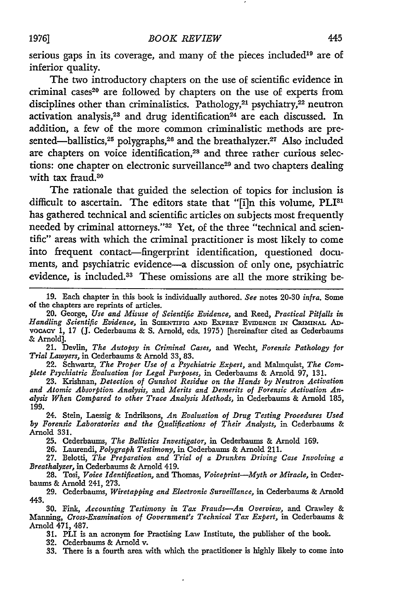serious gaps in its coverage, and many of the pieces included<sup>19</sup> are of inferior quality.

The two introductory chapters on the use of scientific evidence in criminal cases20 are followed **by** chapters on the use of experts from disciplines other than criminalistics. Pathology,<sup>21</sup> psychiatry,<sup>22</sup> neutron activation analysis,<sup>23</sup> and drug identification<sup>24</sup> are each discussed. In addition, a few of the more common criminalistic methods are presented—ballistics, $25$  polygraphs, $26$  and the breathalyzer. $27$  Also included are chapters on voice identification,<sup>28</sup> and three rather curious selections: one chapter on electronic surveillance<sup>29</sup> and two chapters dealing with tax fraud.<sup>30</sup>

The rationale that guided the selection of topics for inclusion is difficult to ascertain. The editors state that **"[i]n** this volume, PLI81 has gathered technical and scientific articles on subjects most frequently needed **by** criminal attorneys."3 2 Yet, of the three "technical and scientific" areas with which the criminal practitioner is most likely to come into frequent contact-fingerprint identification, questioned documents, and psychiatric evidence-a discussion of only one, psychiatric evidence, is included.<sup>33</sup> These omissions are all the more striking be-

21. Devlin, *The Autopsy in Criminal Cases,* and Wecht, *Forensic Pathology for Trial Lawyers,* in Cederbaums & Arnold 33, **83.**

22. Schwartz, *The Proper Use of a Psychiatric Expert,* and Malmquist, *The Complete Psychiatric Evaluation for Legal Purposes,* in Cederbaums & Arnold **97,** 131.

23. Krishnan, *Detection of Gunshot Residue on the Hands by Neutron Activation and Atomic Absorption Analysis,* and *Merits and Demerits of Forensic Activation Analysis When Compared to other Trace Analysis Methods,* in Cederbaums & Arnold 185, 199.

24. Stein, Laessig & Indriksons, *An Evaluation of Drug Testing Procedures Used by Forensic Laboratories and the Qualifications of Their Analysts,* in Cederbaums & Arnold 331.

25. Cederbaums, *The Ballistics Investigator,* in Cederbaums & Arnold 169.

26. Laurendi, *Polygraph Testimony,* in Cederbaums & Arnold 211.

27. Belotti, *The Preparation and Trial of a Drunken Driving Case Involving a Breathalyzer,* in Cederbaums & Arnold 419. 28. Tosi, *Voice Identification,* and Thomas, *Voiceprint-Myth or Miracle,* in Ceder-

baums & Arnold 241, 273.

29. Cederbaums, *Wiretapping and Electronic Surveillance,* in Cederbaunms & Arnold 443.

30. Fink, *Accounting Testimony in Tax Frauds-An Overview,* and Crawley & Manning, *Cross-Examination of Government's Technical Tax Expert,* in Cederbaums & Arnold 471, 487.

**31.** PLI is an acronym for Practising Law Institute, the publisher of the **book.**

32. Cederbaums & Arnold v. 33. There is a fourth area with which the practitioner is highly likely to come into

**<sup>19.</sup>** Each chapter in this book is individually authored. *See* notes 20-30 *infra.* Some of the chapters are reprints of articles.

<sup>20.</sup> George, *Use and Misuse of Scientific Evidence,* and Reed, *Practical Pitfalls in Handling Scientific Evidence,* in **SCIENTIFIC AND EXPERT EVIDENCE IN CRIMINAL AD**voCAcy 1, 17 (J. Cederbaums & S. Arnold, eds. 1975) [hereinafter cited as Cederbaums & Arnold].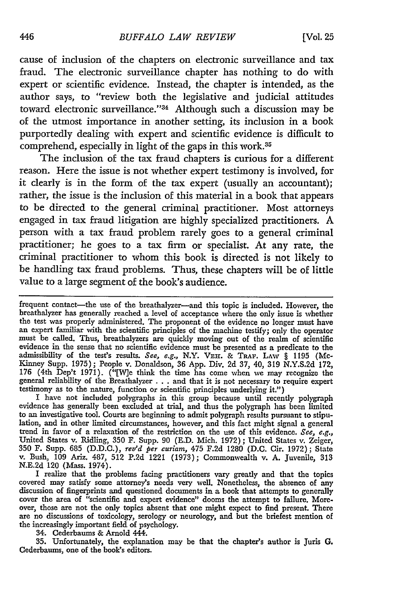cause of inclusion of the chapters on electronic surveillance and tax fraud. The electronic surveillance chapter has nothing to do with expert or scientific evidence. Instead, the chapter is intended, as the author says, to "review both the legislative and judicial attitudes toward electronic surveillance."34 Although such a discussion may be of the utmost importance in another setting, its inclusion in a book purportedly dealing with expert and scientific evidence is difficult to comprehend, especially in light of the gaps in this work.<sup>35</sup>

The inclusion of the tax fraud chapters is curious for a different reason. Here the issue is not whether expert testimony is involved, for it dearly is in the form of the tax expert (usually an accountant); rather, the issue is the inclusion of this material in a book that appears to be directed to the general criminal practitioner. Most attorneys engaged in tax fraud litigation are highly specialized practitioners. A person with a tax fraud problem rarely goes to a general criminal practitioner; he goes to a tax firm or specialist. At any rate, the criminal practitioner to whom this book is directed is not likely to be handling tax fraud problems. Thus, these chapters will **be** of little value to a large segment of the book's audience.

frequent contact-the use of the breathalyzer-and this topic is included. However, the breathalyzer has generally reached a level of acceptance where the only issue is whether the test was properly administered. The proponent of the evidence no longer must have an expert familiar with the scientific principles of the machine testify; only the operator must be called. Thus, breathalyzers are quickly moving out of the realm of scientific evidence in the sense that no scientific evidence must be presented as a predicate to the admissibility of the test's results. See, e.g., N.Y. **VEHr. &** TRAF. **LAW** § 1195 (Mc-Kinney Supp. 1975); People v. Donaldson, 36 App. Div. 2d 37, 40, 319 N.Y.S.2d 172, 176 (4th Dep't 1971). ("[W]e think the time has come when we may recognize the general reliability of the Breathalyzer **.** . . and that it is not necessary to require expert testimony as to the nature, function or scientific principles underlying it.")

I have not included polygraphs in this group because until recently polygraph evidence has generally been excluded at trial, and thus the polygraph has been limited to an investigative tool. Courts are beginning to admit polygraph results pursuant to stipulation, and in other limited circumstances, however, and this fact might signal a general trend in favor of a relaxation of the restriction on the use of this evidence. *See, e.g.,* United States v. Ridling, 350 F. Supp. 90 (E.D. Mich. 1972); United States v. Zeiger, 350 F. Supp. 685 (D.D.C.), *rev'd per curiam,* 475 F.2d 1280 (D.C. Cir. 1972); State v. Bush, 109 Ariz. 487, 512 P.2d 1221 (1973); Commonwealth v. A. Juvenile, 313 N.E.2d 120 (Mass. 1974).

I realize that the problems facing practitioners vary greatly and that the topics covered may satisfy some attorney's needs very well. Nonetheless, the absence of any discussion of fingerprints and questioned documents in a book that attempts to generally cover the area of "scientific and expert evidence" dooms the attempt to failure. Morecover the area of <sup>ti</sup>scientific and expert evidence" dooms the attempt to failure. More-<br>over, those are not the only topics absent that one might expect to find present. There<br>are no discussions of toxicology, serology o the increasingly important field of psychology.

34. Cederbaums & Arnold 444.

35. Unfortunately, the explanation may be that the chapter's author is Juris G. Cederbaums, one of the book's editors.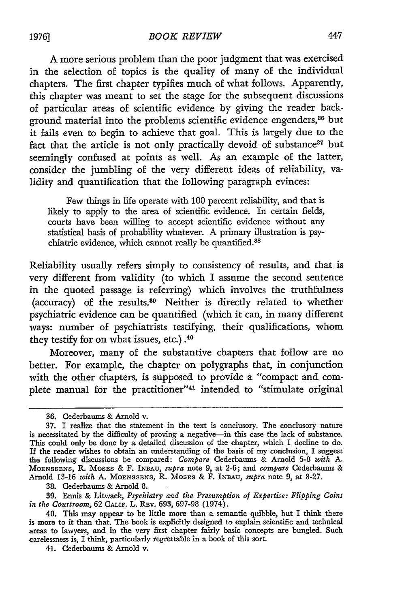**A** more serious problem than the poor judgment that was exercised in the selection of topics is the quality of many of the individual chapters. The first chapter typifies much of what follows. Apparently, this chapter was meant to set the stage for the subsequent discussions of particular areas of scientific evidence by giving the reader background material into the problems scientific evidence engenders,<sup>36</sup> but it fails even to begin to achieve that goal. This is largely due to the fact that the article is not only practically devoid of substance<sup>37</sup> but seemingly confused at points as well. As an example of the latter, consider the jumbling of the very different ideas of reliability, validity and quantification that the following paragraph evinces:

Few things in life operate with 100 percent reliability, and that is likely to apply to the area of scientific evidence. In certain fields, courts have been willing to accept scientific evidence without any statistical basis of probability whatever. A primary illustration is psychiatric evidence, which cannot really be quantified.<sup>38</sup>

Reliability usually refers simply to consistency of results, and that is very different from validity (to which I assume the second sentence in the quoted passage is referring) which involves the truthfulness (accuracy) of the results.39 Neither is directly related to whether psychiatric evidence can be quantified (which it can, in many different ways: number of psychiatrists testifying, their qualifications, whom they testify for on what issues, etc.) .40

Moreover, many of the substantive chapters that follow are no better. For example, the chapter on polygraphs that, in conjunction with the other chapters, is supposed to provide a "compact and complete manual for the practitioner"41 intended to "stimulate original

38. Cederbaums & Arnold 8.

39. Ennis & Litwack, *Psychiatry and the Presumption of Expertise: Flipping Coins in the Courtroom,* 62 CALIF. L. RIv. 693, 697-98 (1974).

<sup>36.</sup> Cederbaums & Arnold v.

**<sup>37.</sup>** I realize that the statement in the text is conclusory. The conclusory nature is necessitated by the difficulty of proving a negative-in this case the lack of substance This could only be done by a detailed discussion of the chapter, which I decline to do If the reader wishes to obtain an understanding of the basis of my conclusion, I suggest the following discussions be compared: *Compare* Cederbaums & Arnold 5-8 *with A.* MOENSSENS, R. MOSES & F. **INBAU,** *supra* note 9, at 2-6; and *compare* Cederbaums & Arnold 13-16 *with* A. MOENSSENS, R. MosEs & F. INBAU, *supra* note 9, at 8-27.

<sup>40.</sup> This may appear to be little more than a semantic quibble, but I think there is more to it than that. The book is explicitly designed to explain scientific and technical areas to lawyers, and in the very first chapter fairly basic concepts are bungled. Such carelessness is, I think, particularly regrettable in a book of this sort.

<sup>41.</sup> Cederbaums & Arnold v.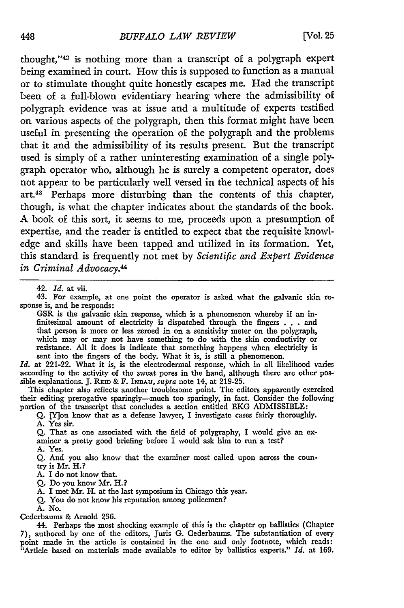thought,"<sup>42</sup> is nothing more than a transcript of a polygraph expert being examined in court. How this is supposed to function as a manual or to stimulate thought quite honestly escapes me. Had the transcript been of a full-blown evidentiary hearing where the admissibility of polygraph evidence was at issue and a multitude of experts testified on various aspects of the polygraph, then this format might have been useful in presenting the operation of the polygraph and the problems that it and the admissibility of its results present. But the transcript used is simply of a rather uninteresting examination of a single polygraph operator who, although he is surely a competent operator, does not appear to be particularly well versed in the technical aspects of his art.43 Perhaps more disturbing than the contents of this chapter, though, is what the chapter indicates about the standards of the book. **A** book of this sort, it seems to me, proceeds upon a presumption of expertise, and the reader is entitled to expect that the requisite knowledge and skills have been tapped and utilized in its formation. Yet, this standard is frequently not met by *Scientific and Expert Evidence in Criminal Advocacy.44*

42. *Id.* at vii. 43. For example, at one point the operator is asked what the galvanic skin rcsponse is, and he responds:

GSR is the galvanic skin response, which is a phenomenon whereby if an infinitesimal amount of electricity is dispatched through the fingers . . . and that person is more or less zeroed in on a sensitivity meter on the polygraph, which may or may not have something to do with the skin conductivity or resistance. All it does is indicate that something happens when electricity is sent into the fingers of the body. What it is, is still a phenomenon.

*Id.* at 221-22. What it is, is the electrodermal response, which in all likelihood varies according to the activity of the sweat pores in the hand, although there are other possible explanations. J. *Ram* **&** F. INDAU, *supra* note 14, at 219-25.

This chapter also reflects another troublesome point. The editors apparently exercised their editing prerogative sparingly-much too sparingly, in fact. Consider the following portion of the transcript that concludes a section entitled EKG ADMISSIBLE:

*Q.* [Y]ou know that as a defense lawyer, I investigate cases fairly thoroughly. A. Yes sir.

Q. That as one associated with the field of polygraphy, I would give an examiner a pretty good briefing before I would ask him to run a test? A. Yes.

Q. And you also know that the examiner most called upon across the country is Mr. H.?

A. I do not know that.

Q. Do you know Mr. H.?

A. I met Mr. H. at the last symposium in Chicago this year.

Q. You do not know his reputation among policemen?

**A.** No.

Cederbaums & Arnold 236.

44. Perhaps the most shocking example of this is the chapter on ballistics (Chapter 7), authored by one of the editors, Juris G. Cederbaums. The substantiation of every point made in the article is contained in the one and only footnote, which reads: "Article based on materials made available to editor by ballistics experts." *Id.* at 169.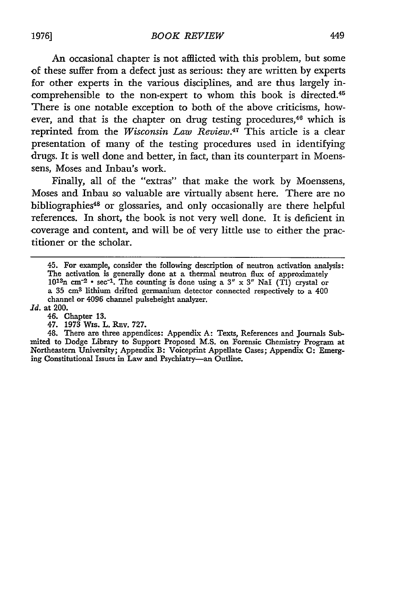An occasional chapter is not afflicted with this problem, but some of these suffer from a defect just as serious: they are written by experts for other experts in the various disciplines, and are thus largely incomprehensible to the non-expert to whom this book is directed.<sup>45</sup> There is one notable exception to both of the above criticisms, however, and that is the chapter on drug testing procedures,<sup>46</sup> which is reprinted from the Wisconsin Law Review.<sup>47</sup> This article is a clear presentation of many of the testing procedures used in identifying drugs. It is well done and better, in fact, than its counterpart in Moenssens, Moses and Inbau's work.

Finally, all of the "extras" that make the work by Moenssens, Moses and Inbau so valuable are virtually absent here. There are no bibliographies<sup>48</sup> or glossaries, and only occasionally are there helpful references. In short, the book is not very well done. It is deficient in coverage and content, and will be of very little use to either the practitioner or the scholar.

<sup>45.</sup> For example, consider the following description of neutron activation analysis: The activation is generally done at a thermal neutron flux of approximately  $10^{13}$ n cm<sup>-2</sup>  $\cdot$  sec<sup>-1</sup>. The counting is done using a  $3'' \times 3''$  NaI (TI) crystal or a **35 cm3** lithium drifted germanium detector connected respectively to a 400 channel or 4096 channel pulseheight analyzer.

*Id.* at 200.

<sup>46.</sup> Chapter 13.

<sup>47. 1973</sup> Wis. L. REv. 727.

<sup>48.</sup> There are three appendices: Appendix **A:** Texts, References and Journals Submited to Dodge Library to Support Proposed M.S. on Forensic Chemistry Program at Northeastern University; Appendix B: Voiceprint Appellate Cases; Appendix **C:** Emerging Constitutional Issues in Law and Psychiatry-an Outline.